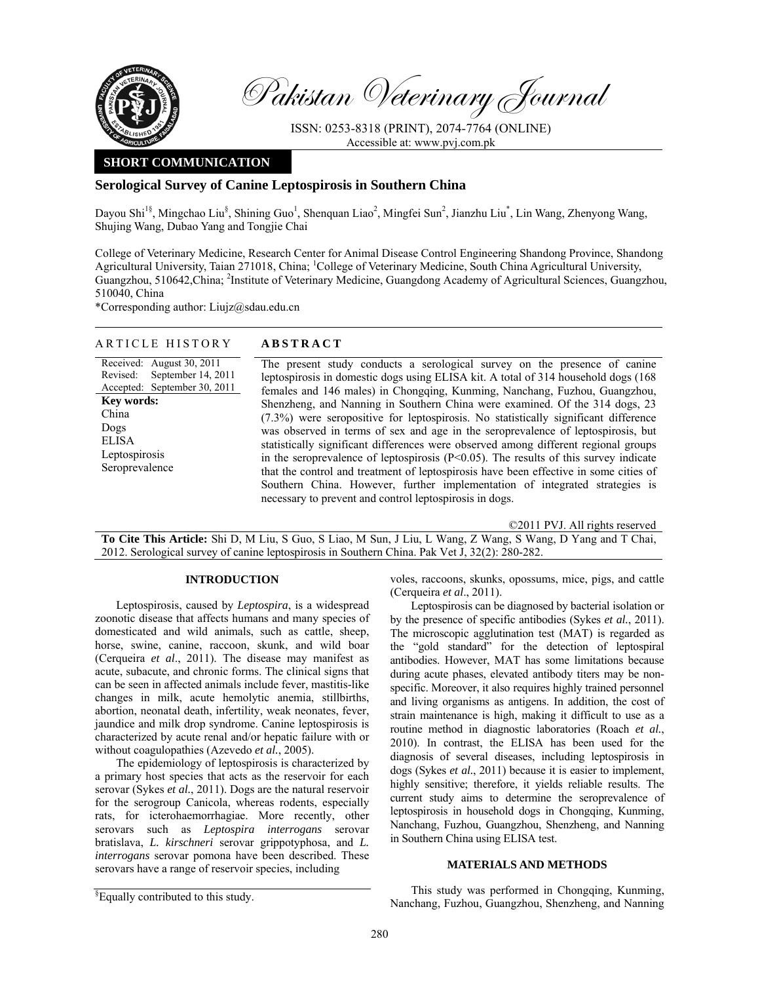

Revised:

China Dogs ELISA

Pakistan Veterinary Journal

ISSN: 0253-8318 (PRINT), 2074-7764 (ONLINE) Accessible at: www.pvj.com.pk

# **SHORT COMMUNICATION**

# **Serological Survey of Canine Leptospirosis in Southern China**

Dayou Shi<sup>1§</sup>, Mingchao Liu<sup>§</sup>, Shining Guo<sup>1</sup>, Shenquan Liao<sup>2</sup>, Mingfei Sun<sup>2</sup>, Jianzhu Liu<sup>\*</sup>, Lin Wang, Zhenyong Wang, Shujing Wang, Dubao Yang and Tongjie Chai

College of Veterinary Medicine, Research Center for Animal Disease Control Engineering Shandong Province, Shandong Agricultural University, Taian 271018, China; <sup>1</sup>College of Veterinary Medicine, South China Agricultural University, Guangzhou, 510642, China; <sup>2</sup>Institute of Veterinary Medicine, Guangdong Academy of Agricultural Sciences, Guangzhou, 510040, China

\*Corresponding author: Liujz@sdau.edu.cn

# ARTICLE HISTORY **ABSTRACT**

Received: August 30, 2011 Accepted: September 30, 2011 September 14, 2011 **Key words:**  Leptospirosis Seroprevalence The present study conducts a serological survey on the presence of canine leptospirosis in domestic dogs using ELISA kit. A total of 314 household dogs (168 females and 146 males) in Chongqing, Kunming, Nanchang, Fuzhou, Guangzhou, Shenzheng, and Nanning in Southern China were examined. Of the 314 dogs, 23 (7.3%) were seropositive for leptospirosis. No statistically significant difference was observed in terms of sex and age in the seroprevalence of leptospirosis, but statistically significant differences were observed among different regional groups in the seroprevalence of leptospirosis  $(P<0.05)$ . The results of this survey indicate that the control and treatment of leptospirosis have been effective in some cities of Southern China. However, further implementation of integrated strategies is necessary to prevent and control leptospirosis in dogs.

©2011 PVJ. All rights reserved

**To Cite This Article:** Shi D, M Liu, S Guo, S Liao, M Sun, J Liu, L Wang, Z Wang, S Wang, D Yang and T Chai, 2012. Serological survey of canine leptospirosis in Southern China. Pak Vet J, 32(2): 280-282.

### **INTRODUCTION**

Leptospirosis, caused by *Leptospira*, is a widespread zoonotic disease that affects humans and many species of domesticated and wild animals, such as cattle, sheep, horse, swine, canine, raccoon, skunk, and wild boar (Cerqueira *et al*., 2011). The disease may manifest as acute, subacute, and chronic forms. The clinical signs that can be seen in affected animals include fever, mastitis-like changes in milk, acute hemolytic anemia, stillbirths, abortion, neonatal death, infertility, weak neonates, fever, jaundice and milk drop syndrome. Canine leptospirosis is characterized by acute renal and/or hepatic failure with or without coagulopathies (Azevedo *et al.*, 2005).

The epidemiology of leptospirosis is characterized by a primary host species that acts as the reservoir for each serovar (Sykes *et al.*, 2011). Dogs are the natural reservoir for the serogroup Canicola, whereas rodents, especially rats, for icterohaemorrhagiae. More recently, other serovars such as *Leptospira interrogans* serovar bratislava, *L. kirschneri* serovar grippotyphosa, and *L. interrogans* serovar pomona have been described. These serovars have a range of reservoir species, including

Leptospirosis can be diagnosed by bacterial isolation or by the presence of specific antibodies (Sykes *et al.*, 2011). The microscopic agglutination test (MAT) is regarded as the "gold standard" for the detection of leptospiral antibodies. However, MAT has some limitations because during acute phases, elevated antibody titers may be nonspecific. Moreover, it also requires highly trained personnel and living organisms as antigens. In addition, the cost of strain maintenance is high, making it difficult to use as a routine method in diagnostic laboratories (Roach *et al.*, 2010). In contrast, the ELISA has been used for the diagnosis of several diseases, including leptospirosis in dogs (Sykes *et al.*, 2011) because it is easier to implement, highly sensitive; therefore, it yields reliable results. The current study aims to determine the seroprevalence of leptospirosis in household dogs in Chongqing, Kunming, Nanchang, Fuzhou, Guangzhou, Shenzheng, and Nanning in Southern China using ELISA test.

#### **MATERIALS AND METHODS**

This study was performed in Chongqing, Kunming, Nanchang, Fuzhou, Guangzhou, Shenzheng, and Nanning

voles, raccoons, skunks, opossums, mice, pigs, and cattle (Cerqueira *et al*., 2011).

<sup>&</sup>lt;sup>§</sup>Equally contributed to this study.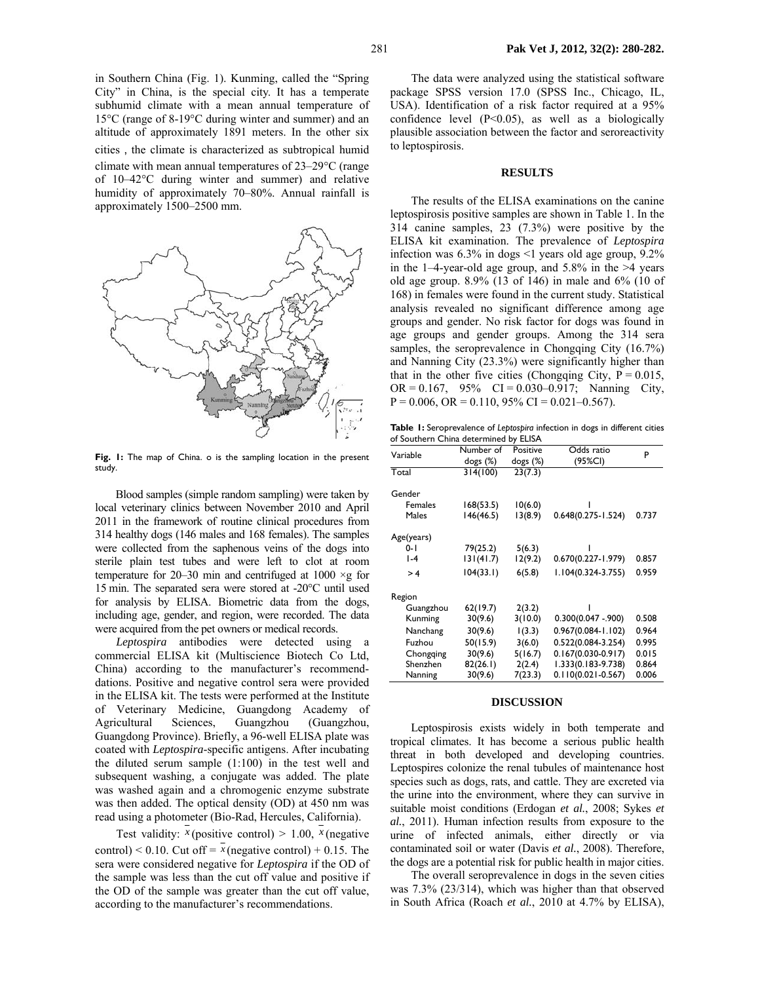in Southern China (Fig. 1). Kunming, called the "Spring City" in China, is the special city. It has a temperate subhumid climate with a mean annual temperature of 15°C (range of 8-19°C during winter and summer) and an altitude of approximately 1891 meters. In the other six cities, the climate is characterized as subtropical humid climate with mean annual temperatures of 23–29°C (range of 10–42°C during winter and summer) and relative humidity of approximately 70–80%. Annual rainfall is approximately 1500–2500 mm.



**Fig. 1:** The map of China. o is the sampling location in the present study.

Blood samples (simple random sampling) were taken by local veterinary clinics between November 2010 and April 2011 in the framework of routine clinical procedures from 314 healthy dogs (146 males and 168 females). The samples were collected from the saphenous veins of the dogs into sterile plain test tubes and were left to clot at room temperature for 20–30 min and centrifuged at 1000  $\times$ g for 15 min. The separated sera were stored at -20°C until used for analysis by ELISA. Biometric data from the dogs, including age, gender, and region, were recorded. The data were acquired from the pet owners or medical records.

*Leptospira* antibodies were detected using a commercial ELISA kit (Multiscience Biotech Co Ltd, China) according to the manufacturer's recommenddations. Positive and negative control sera were provided in the ELISA kit. The tests were performed at the Institute of Veterinary Medicine, Guangdong Academy of Agricultural Sciences, Guangzhou (Guangzhou, Guangdong Province). Briefly, a 96-well ELISA plate was coated with *Leptospira*-specific antigens. After incubating the diluted serum sample (1:100) in the test well and subsequent washing, a conjugate was added. The plate was washed again and a chromogenic enzyme substrate was then added. The optical density (OD) at 450 nm was read using a photometer (Bio-Rad, Hercules, California).

Test validity:  $x$  (positive control) > 1.00,  $x$  (negative control) < 0.10. Cut off =  $\bar{x}$  (negative control) + 0.15. The sera were considered negative for *Leptospira* if the OD of the sample was less than the cut off value and positive if the OD of the sample was greater than the cut off value, according to the manufacturer's recommendations.

The data were analyzed using the statistical software package SPSS version 17.0 (SPSS Inc., Chicago, IL, USA). Identification of a risk factor required at a 95% confidence level  $(P<0.05)$ , as well as a biologically plausible association between the factor and seroreactivity to leptospirosis.

#### **RESULTS**

The results of the ELISA examinations on the canine leptospirosis positive samples are shown in Table 1. In the 314 canine samples, 23 (7.3%) were positive by the ELISA kit examination. The prevalence of *Leptospira* infection was 6.3% in dogs <1 years old age group, 9.2% in the 1–4-year-old age group, and  $5.8\%$  in the  $>4$  years old age group. 8.9% (13 of 146) in male and 6% (10 of 168) in females were found in the current study. Statistical analysis revealed no significant difference among age groups and gender. No risk factor for dogs was found in age groups and gender groups. Among the 314 sera samples, the seroprevalence in Chongqing City (16.7%) and Nanning City (23.3%) were significantly higher than that in the other five cities (Chongqing City,  $P = 0.015$ , OR =  $0.167$ ,  $95\%$  CI =  $0.030-0.917$ ; Nanning City,  $P = 0.006$ ,  $OR = 0.110$ ,  $95\% CI = 0.021 - 0.567$ .

**Table 1:** Seroprevalence of *Leptospira* infection in dogs in different cities of Southern China determined by ELISA

| Variable       | Number of    | Positive    | Odds ratio             | P     |
|----------------|--------------|-------------|------------------------|-------|
|                | $\log s$ (%) | dogs $(\%)$ | (95%CI)                |       |
| Total          | 314(100)     | 23(7.3)     |                        |       |
|                |              |             |                        |       |
| Gender         |              |             |                        |       |
| <b>Females</b> | 168(53.5)    | 10(6.0)     |                        |       |
| Males          | 146(46.5)    | 13(8.9)     | $0.648(0.275 - 1.524)$ | 0.737 |
| Age(years)     |              |             |                        |       |
| $0-1$          | 79(25.2)     | 5(6.3)      |                        |       |
| $I - 4$        | 131(41.7)    | 12(9.2)     | $0.670(0.227 - 1.979)$ | 0.857 |
| >4             | 104(33.1)    | 6(5.8)      | 1.104(0.324-3.755)     | 0.959 |
| Region         |              |             |                        |       |
| Guangzhou      | 62(19.7)     | 2(3.2)      |                        |       |
| Kunming        | 30(9.6)      | 3(10.0)     | $0.300(0.047 - 900)$   | 0.508 |
| Nanchang       | 30(9.6)      | (3.3)       | $0.967(0.084 - 1.102)$ | 0.964 |
| Fuzhou         | 50(15.9)     | 3(6.0)      | 0.522(0.084-3.254)     | 0.995 |
| Chongqing      | 30(9.6)      | 5(16.7)     | $0.167(0.030-0.917)$   | 0.015 |
| Shenzhen       | 82(26.1)     | 2(2.4)      | 1.333(0.183-9.738)     | 0.864 |
| Nanning        | 30(9.6)      | 7(23.3)     | $0.110(0.021 - 0.567)$ | 0.006 |

## **DISCUSSION**

Leptospirosis exists widely in both temperate and tropical climates. It has become a serious public health threat in both developed and developing countries. Leptospires colonize the renal tubules of maintenance host species such as dogs, rats, and cattle. They are excreted via the urine into the environment, where they can survive in suitable moist conditions (Erdogan *et al.*, 2008; Sykes *et al.*, 2011). Human infection results from exposure to the urine of infected animals, either directly or via contaminated soil or water (Davis *et al.*, 2008). Therefore, the dogs are a potential risk for public health in major cities.

The overall seroprevalence in dogs in the seven cities was 7.3% (23/314), which was higher than that observed in South Africa (Roach *et al.*, 2010 at 4.7% by ELISA),